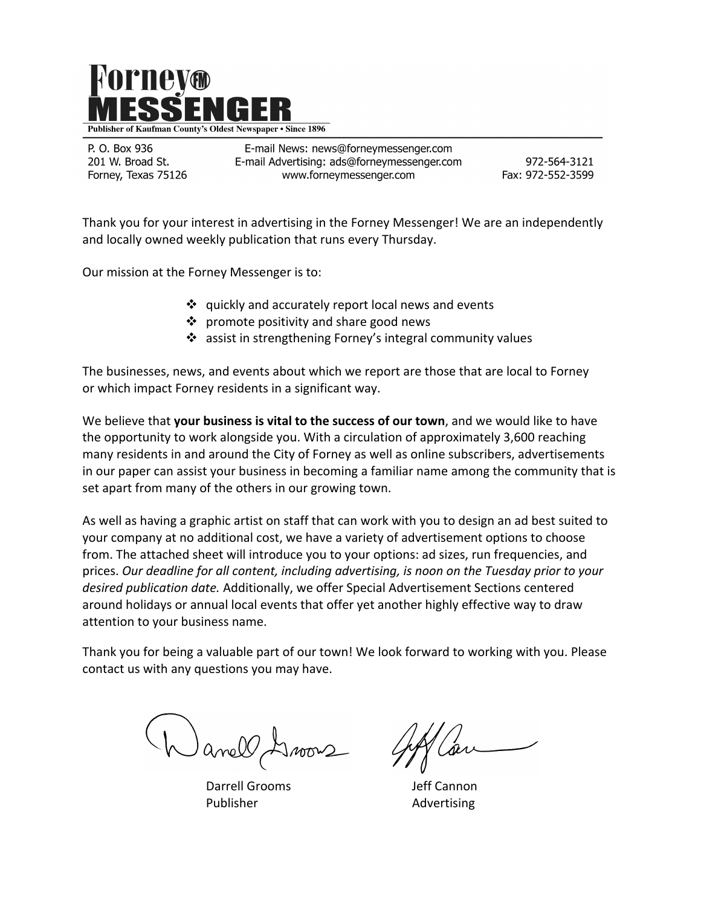

P. O. Box 936 201 W. Broad St. Forney, Texas 75126

E-mail News: news@forneymessenger.com E-mail Advertising: ads@forneymessenger.com www.forneymessenger.com

972-564-3121 Fax: 972-552-3599

Thank you for your interest in advertising in the Forney Messenger! We are an independently and locally owned weekly publication that runs every Thursday.

Our mission at the Forney Messenger is to:

- $\cdot$  quickly and accurately report local news and events
- $\cdot \cdot$  promote positivity and share good news
- $\cdot$  assist in strengthening Forney's integral community values

The businesses, news, and events about which we report are those that are local to Forney or which impact Forney residents in a significant way.

We believe that **your business is vital to the success of our town**, and we would like to have the opportunity to work alongside you. With a circulation of approximately 3,600 reaching many residents in and around the City of Forney as well as online subscribers, advertisements in our paper can assist your business in becoming a familiar name among the community that is set apart from many of the others in our growing town.

As well as having a graphic artist on staff that can work with you to design an ad best suited to your company at no additional cost, we have a variety of advertisement options to choose from. The attached sheet will introduce you to your options: ad sizes, run frequencies, and prices. Our deadline for all content, including advertising, is noon on the Tuesday prior to your desired *publication date.* Additionally, we offer Special Advertisement Sections centered around holidays or annual local events that offer yet another highly effective way to draw attention to your business name.

Thank you for being a valuable part of our town! We look forward to working with you. Please contact us with any questions you may have.

Jnoons

Darrell Grooms **South American** Jeff Cannon Publisher **Advertising**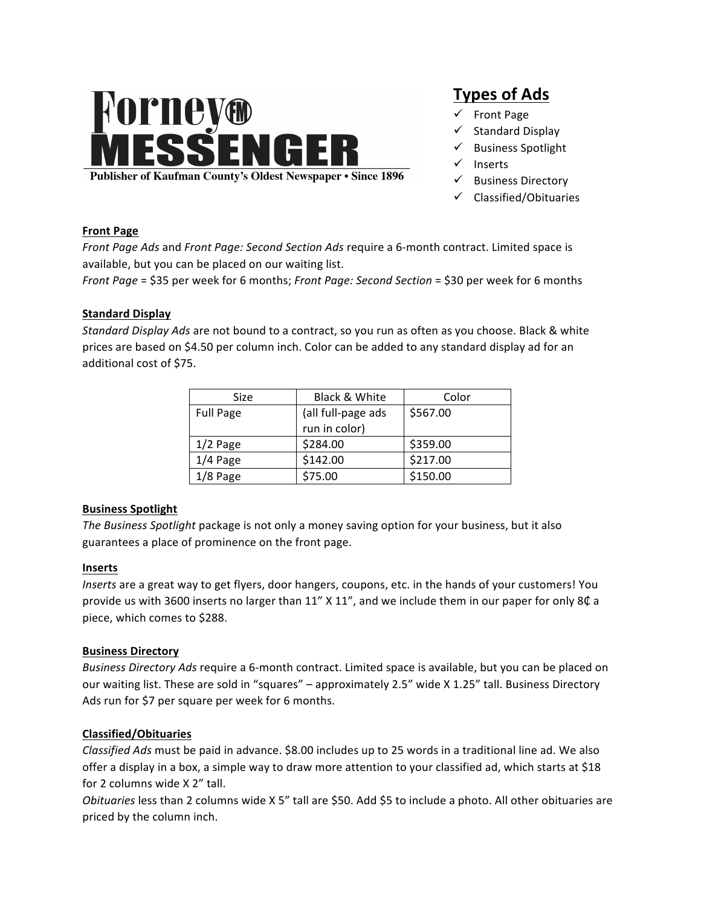# **Forney®<br>MESSENGER**

**Publisher of Kaufman County's Oldest Newspaper • Since 1896** 

# **Types of Ads**

- $\checkmark$  Front Page
- $\checkmark$  Standard Display
- Business Spotlight
- $\checkmark$  Inserts
- $\checkmark$  Business Directory
- $\checkmark$  Classified/Obituaries

#### **Front Page**

*Front Page Ads* and *Front Page: Second Section Ads* require a 6-month contract. Limited space is available, but you can be placed on our waiting list.

*Front Page* = \$35 per week for 6 months; *Front Page: Second Section* = \$30 per week for 6 months

#### **Standard Display**

*Standard Display Ads* are not bound to a contract, so you run as often as you choose. Black & white prices are based on \$4.50 per column inch. Color can be added to any standard display ad for an additional cost of \$75.

| Size             | Black & White      | Color    |
|------------------|--------------------|----------|
| <b>Full Page</b> | (all full-page ads | \$567.00 |
|                  | run in color)      |          |
| $1/2$ Page       | \$284.00           | \$359.00 |
| $1/4$ Page       | \$142.00           | \$217.00 |
| $1/8$ Page       | \$75.00            | \$150.00 |

## **Business Spotlight**

*The Business Spotlight* package is not only a money saving option for your business, but it also guarantees a place of prominence on the front page.

#### **Inserts**

*Inserts* are a great way to get flyers, door hangers, coupons, etc. in the hands of your customers! You provide us with 3600 inserts no larger than  $11''$  X  $11''$ , and we include them in our paper for only 8 $\&$  a piece, which comes to \$288.

#### **Business Directory**

*Business Directory Ads* require a 6-month contract. Limited space is available, but you can be placed on our waiting list. These are sold in "squares" - approximately 2.5" wide X 1.25" tall. Business Directory Ads run for \$7 per square per week for 6 months.

## **Classified/Obituaries**

*Classified Ads* must be paid in advance. \$8.00 includes up to 25 words in a traditional line ad. We also offer a display in a box, a simple way to draw more attention to your classified ad, which starts at \$18 for 2 columns wide X 2" tall.

*Obituaries* less than 2 columns wide X 5" tall are \$50. Add \$5 to include a photo. All other obituaries are priced by the column inch.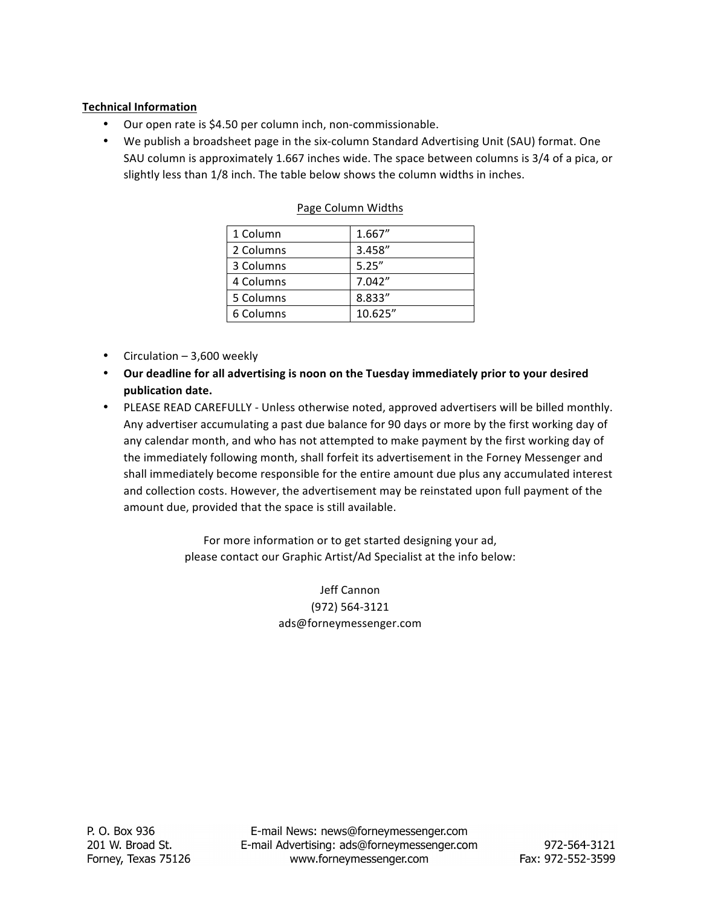# **Technical Information**

- Our open rate is \$4.50 per column inch, non-commissionable.
- We publish a broadsheet page in the six-column Standard Advertising Unit (SAU) format. One SAU column is approximately 1.667 inches wide. The space between columns is 3/4 of a pica, or slightly less than  $1/8$  inch. The table below shows the column widths in inches.

| 1 Column  | 1.667"  |
|-----------|---------|
| 2 Columns | 3.458"  |
| 3 Columns | 5.25''  |
| 4 Columns | 7.042"  |
| 5 Columns | 8.833"  |
| 6 Columns | 10.625" |

### Page Column Widths

- Circulation  $-3,600$  weekly
- Our deadline for all advertising is noon on the Tuesday immediately prior to your desired **publication date.**
- PLEASE READ CAREFULLY Unless otherwise noted, approved advertisers will be billed monthly. Any advertiser accumulating a past due balance for 90 days or more by the first working day of any calendar month, and who has not attempted to make payment by the first working day of the immediately following month, shall forfeit its advertisement in the Forney Messenger and shall immediately become responsible for the entire amount due plus any accumulated interest and collection costs. However, the advertisement may be reinstated upon full payment of the amount due, provided that the space is still available.

For more information or to get started designing your ad, please contact our Graphic Artist/Ad Specialist at the info below:

> Jeff Cannon (972) 564-3121 ads@forneymessenger.com